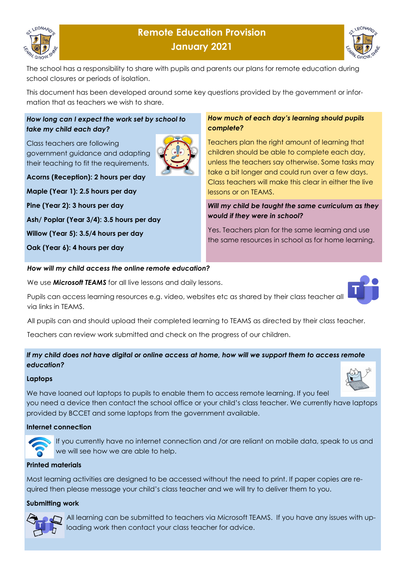

# **Remote Education Provision January 2021**



The school has a responsibility to share with pupils and parents our plans for remote education during school closures or periods of isolation.

This document has been developed around some key questions provided by the government or information that as teachers we wish to share.

#### *How long can I expect the work set by school to take my child each day?*

Class teachers are following government guidance and adapting their teaching to fit the requirements.



**Acorns (Reception): 2 hours per day**

**Maple (Year 1): 2.5 hours per day**

**Pine (Year 2): 3 hours per day**

**Ash/ Poplar (Year 3/4): 3.5 hours per day**

**Willow (Year 5): 3.5/4 hours per day**

**Oak (Year 6): 4 hours per day**

#### *How much of each day's learning should pupils complete?*

Teachers plan the right amount of learning that children should be able to complete each day, unless the teachers say otherwise. Some tasks may take a bit longer and could run over a few days. Class teachers will make this clear in either the live lessons or on TEAMS.

### *Will my child be taught the same curriculum as they would if they were in school?*

Yes. Teachers plan for the same learning and use the same resources in school as for home learning.

#### *How will my child access the online remote education?*

We use *Microsoft TEAMS* for all live lessons and daily lessons.

Pupils can access learning resources e.g. video, websites etc as shared by their class teacher all via links in TEAMS.

All pupils can and should upload their completed learning to TEAMS as directed by their class teacher.

Teachers can review work submitted and check on the progress of our children.

#### *If my child does not have digital or online access at home, how will we support them to access remote education?*

#### **Laptops**

We have loaned out laptops to pupils to enable them to access remote learning. If you feel you need a device then contact the school office or your child's class teacher. We currently have laptops provided by BCCET and some laptops from the government available.

# **Internet connection**



If you currently have no internet connection and /or are reliant on mobile data, speak to us and we will see how we are able to help.

# **Printed materials**

Most learning activities are designed to be accessed without the need to print. If paper copies are required then please message your child's class teacher and we will try to deliver them to you.

#### **Submitting work**



All learning can be submitted to teachers via Microsoft TEAMS. If you have any issues with uploading work then contact your class teacher for advice.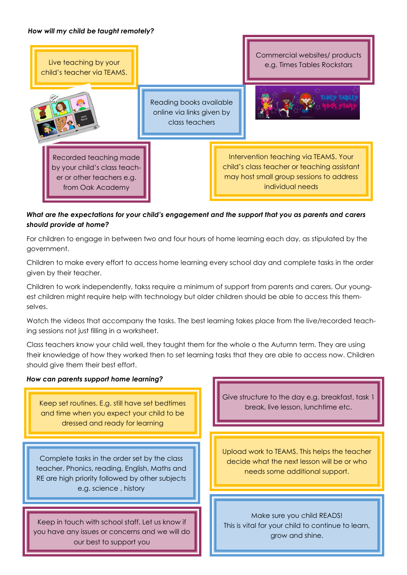#### *How will my child be taught remotely?*



# *What are the expectations for your child's engagement and the support that you as parents and carers should provide at home?*

For children to engage in between two and four hours of home learning each day, as stipulated by the government.

Children to make every effort to access home learning every school day and complete tasks in the order given by their teacher.

Children to work independently, takss require a minimum of support from parents and carers. Our youngest children might require help with technology but older children should be able to access this themselves.

Watch the videos that accompany the tasks. The best learning takes place from the live/recorded teaching sessions not just filling in a worksheet.

Class teachers know your child well, they taught them for the whole o the Autumn term. They are using their knowledge of how they worked then to set learning tasks that they are able to access now. Children should give them their best effort.

#### *How can parents support home learning?*

Keep set routines. E.g. still have set bedtimes and time when you expect your child to be dressed and ready for learning

Complete tasks in the order set by the class teacher. Phonics, reading, English, Maths and RE are high priority followed by other subjects e.g. science , history

Keep in touch with school staff. Let us know if you have any issues or concerns and we will do our best to support you

Give structure to the day e.g. breakfast, task 1 break, live lesson, lunchtime etc.

Upload work to TEAMS. This helps the teacher decide what the next lesson will be or who needs some additional support.

Make sure you child READS! This is vital for your child to continue to learn, grow and shine.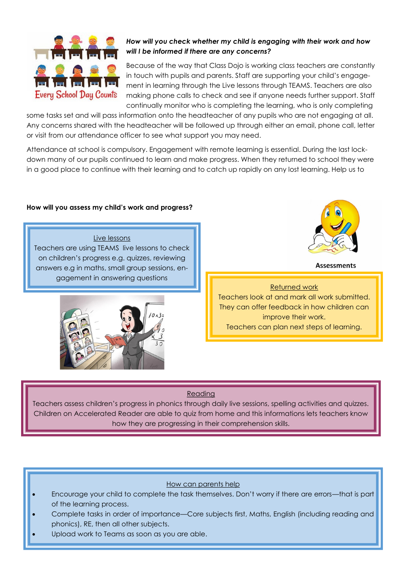

# *How will you check whether my child is engaging with their work and how will I be informed if there are any concerns?*

Because of the way that Class Dojo is working class teachers are constantly in touch with pupils and parents. Staff are supporting your child's engagement in learning through the Live lessons through TEAMS. Teachers are also making phone calls to check and see if anyone needs further support. Staff continually monitor who is completing the learning, who is only completing

some tasks set and will pass information onto the headteacher of any pupils who are not engaging at all. Any concerns shared with the headteacher will be followed up through either an email, phone call, letter or visit from our attendance officer to see what support you may need.

Attendance at school is compulsory. Engagement with remote learning is essential. During the last lockdown many of our pupils continued to learn and make progress. When they returned to school they were in a good place to continue with their learning and to catch up rapidly on any lost learning. Help us to

#### **How will you assess my child's work and progress?**

Live lessons Teachers are using TEAMS live lessons to check on children's progress e.g. quizzes, reviewing answers e.g in maths, small group sessions, engagement in answering questions





**Assessments** 

# Returned work

Teachers look at and mark all work submitted. They can offer feedback in how children can improve their work. Teachers can plan next steps of learning.

# Reading

Teachers assess children's progress in phonics through daily live sessions, spelling activities and quizzes. Children on Accelerated Reader are able to quiz from home and this informations lets teachers know how they are progressing in their comprehension skills.

# How can parents help

- Encourage your child to complete the task themselves. Don't worry if there are errors—that is part of the learning process.
- Complete tasks in order of importance—Core subjects first, Maths, English (including reading and phonics), RE, then all other subjects.
- Upload work to Teams as soon as you are able.